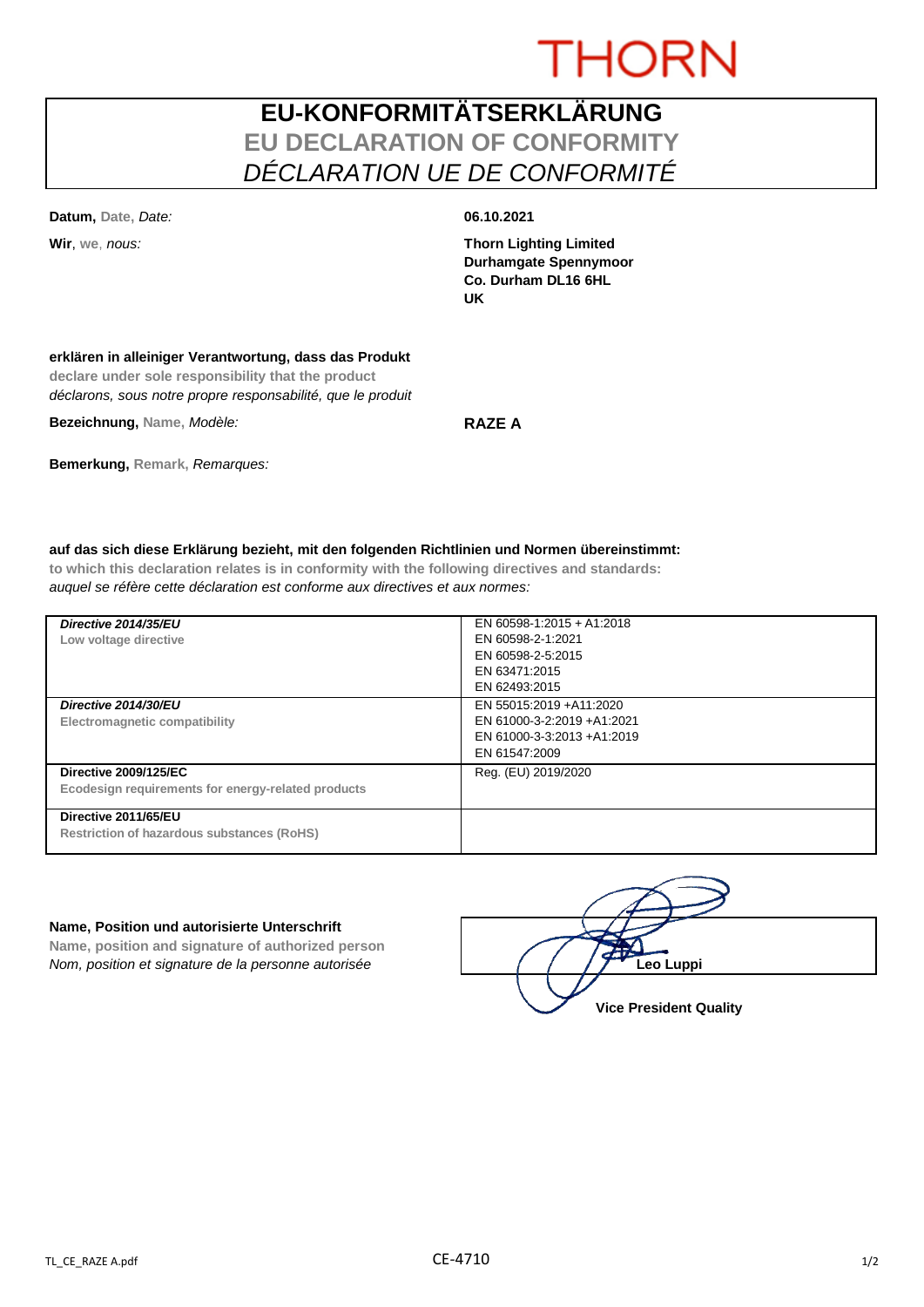# **THORN**

# **EU-KONFORMITÄTSERKLÄRUNG EU DECLARATION OF CONFORMITY** *DÉCLARATION UE DE CONFORMITÉ*

**Datum, Date,** *Date:* **06.10.2021**

**Wir**, **we**, *nous:* **Thorn Lighting Limited Durhamgate Spennymoor Co. Durham DL16 6HL UK**

### **erklären in alleiniger Verantwortung, dass das Produkt**

**declare under sole responsibility that the product** *déclarons, sous notre propre responsabilité, que le produit*

**Bezeichnung, Name,** *Modèle:* **RAZE A**

**Bemerkung, Remark,** *Remarques:*

### **auf das sich diese Erklärung bezieht, mit den folgenden Richtlinien und Normen übereinstimmt:**

**to which this declaration relates is in conformity with the following directives and standards:** *auquel se réfère cette déclaration est conforme aux directives et aux normes:*

| Directive 2014/35/EU<br>Low voltage directive                                      | EN 60598-1:2015 + A1:2018<br>EN 60598-2-1:2021<br>EN 60598-2-5:2015<br>EN 63471:2015<br>EN 62493:2015 |
|------------------------------------------------------------------------------------|-------------------------------------------------------------------------------------------------------|
| Directive 2014/30/EU<br>Electromagnetic compatibility                              | EN 55015:2019 +A11:2020<br>EN 61000-3-2:2019 +A1:2021<br>EN 61000-3-3:2013 +A1:2019<br>EN 61547:2009  |
| <b>Directive 2009/125/EC</b><br>Ecodesign requirements for energy-related products | Reg. (EU) 2019/2020                                                                                   |
| Directive 2011/65/EU<br><b>Restriction of hazardous substances (RoHS)</b>          |                                                                                                       |

#### **Name, Position und autorisierte Unterschrift**

**Name, position and signature of authorized person** *Nom, position et signature de la personne autorisée* 

| Leo Luppi                     |  |
|-------------------------------|--|
| <b>Vice President Quality</b> |  |